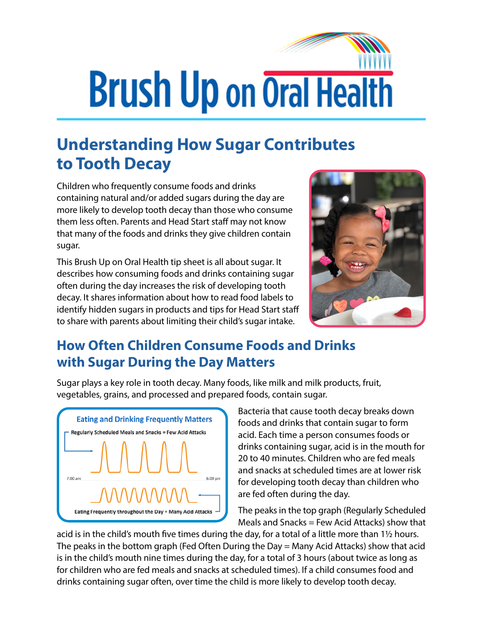# **Brush Up on Oral Health**

# **Understanding How Sugar Contributes to Tooth Decay**

Children who frequently consume foods and drinks containing natural and/or added sugars during the day are more likely to develop tooth decay than those who consume them less often. Parents and Head Start staff may not know that many of the foods and drinks they give children contain sugar.

This Brush Up on Oral Health tip sheet is all about sugar. It describes how consuming foods and drinks containing sugar often during the day increases the risk of developing tooth decay. It shares information about how to read food labels to identify hidden sugars in products and tips for Head Start staff to share with parents about limiting their child's sugar intake.



### **How Often Children Consume Foods and Drinks with Sugar During the Day Matters**

Sugar plays a key role in tooth decay. Many foods, like milk and milk products, fruit, vegetables, grains, and processed and prepared foods, contain sugar.



Bacteria that cause tooth decay breaks down foods and drinks that contain sugar to form acid. Each time a person consumes foods or drinks containing sugar, acid is in the mouth for 20 to 40 minutes. Children who are fed meals and snacks at scheduled times are at lower risk for developing tooth decay than children who are fed often during the day.

The peaks in the top graph (Regularly Scheduled Meals and Snacks = Few Acid Attacks) show that

acid is in the child's mouth five times during the day, for a total of a little more than 1½ hours. The peaks in the bottom graph (Fed Often During the Day = Many Acid Attacks) show that acid is in the child's mouth nine times during the day, for a total of 3 hours (about twice as long as for children who are fed meals and snacks at scheduled times). If a child consumes food and drinks containing sugar often, over time the child is more likely to develop tooth decay.